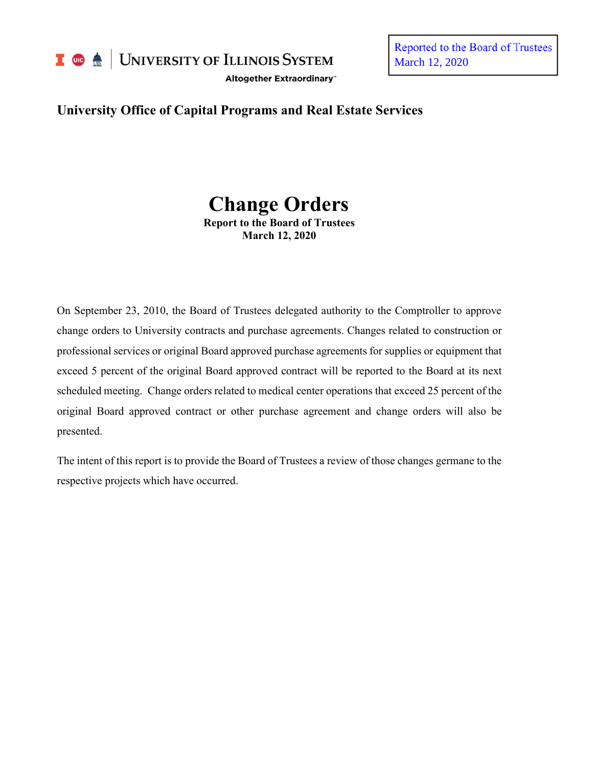

I **C**  $\triangle$  UNIVERSITY OF ILLINOIS SYSTEM

Altogether Extraordinary"

Reported to the Board of Trustees March 12, 2020

# **University Office of Capital Programs and Real Estate Services**

# **Change Orders**

**Report to the Board of Trustees March 12, 2020**

On September 23, 2010, the Board of Trustees delegated authority to the Comptroller to approve change orders to University contracts and purchase agreements. Changes related to construction or professional services or original Board approved purchase agreements for supplies or equipment that exceed 5 percent of the original Board approved contract will be reported to the Board at its next scheduled meeting. Change orders related to medical center operations that exceed 25 percent of the original Board approved contract or other purchase agreement and change orders will also be presented.

The intent of this report is to provide the Board of Trustees a review of those changes germane to the respective projects which have occurred.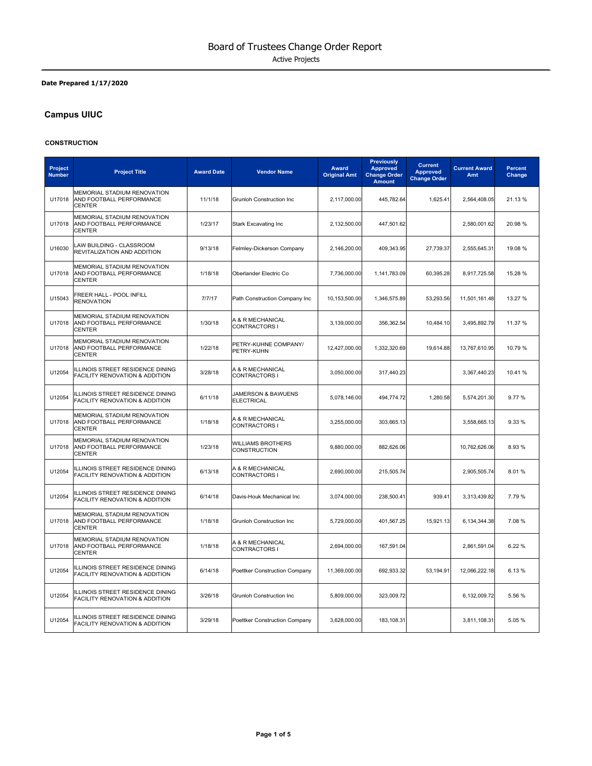#### **Date Prepared 1/17/2020**

# **Campus UIUC**

#### **CONSTRUCTION**

| Project<br><b>Number</b> | <b>Project Title</b>                                                            | <b>Award Date</b> | <b>Vendor Name</b>                       | Award<br><b>Original Amt</b> | <b>Previously</b><br><b>Approved</b><br><b>Change Order</b><br><b>Amount</b> | <b>Current</b><br><b>Approved</b><br><b>Change Order</b> | <b>Current Award</b><br>Amt | Percent<br>Change |
|--------------------------|---------------------------------------------------------------------------------|-------------------|------------------------------------------|------------------------------|------------------------------------------------------------------------------|----------------------------------------------------------|-----------------------------|-------------------|
| U17018                   | MEMORIAL STADIUM RENOVATION<br>AND FOOTBALL PERFORMANCE<br><b>CENTER</b>        | 11/1/18           | Grunloh Construction Inc                 | 2,117,000.00                 | 445,782.64                                                                   | 1,625.41                                                 | 2,564,408.05                | 21.13 %           |
| U17018                   | <b>MEMORIAL STADIUM RENOVATION</b><br>AND FOOTBALL PERFORMANCE<br><b>CENTER</b> | 1/23/17           | <b>Stark Excavating Inc</b>              | 2,132,500.00                 | 447,501.62                                                                   |                                                          | 2,580,001.62                | 20.98 %           |
| U16030                   | LAW BUILDING - CLASSROOM<br>REVITALIZATION AND ADDITION                         | 9/13/18           | Felmley-Dickerson Company                | 2,146,200.00                 | 409,343.95                                                                   | 27,739.37                                                | 2,555,645.31                | 19.08 %           |
| U17018                   | MEMORIAL STADIUM RENOVATION<br>AND FOOTBALL PERFORMANCE<br><b>CENTER</b>        | 1/18/18           | Oberlander Electric Co                   | 7,736,000.00                 | 1,141,783.09                                                                 | 60,395.28                                                | 8,917,725.58                | 15.28 %           |
| U15043                   | FREER HALL - POOL INFILL<br><b>RENOVATION</b>                                   | 7/7/17            | Path Construction Company Inc            | 10,153,500.00                | 1,346,575.89                                                                 | 53,293.56                                                | 11,501,161.48               | 13.27 %           |
| U17018                   | MEMORIAL STADIUM RENOVATION<br>AND FOOTBALL PERFORMANCE<br><b>CENTER</b>        | 1/30/18           | A & R MECHANICAL<br>CONTRACTORS I        | 3,139,000.00                 | 356,362.54                                                                   | 10,484.10                                                | 3,495,892.79                | 11.37 %           |
| U17018                   | MEMORIAL STADIUM RENOVATION<br>AND FOOTBALL PERFORMANCE<br><b>CENTER</b>        | 1/22/18           | PETRY-KUHNE COMPANY/<br>PETRY-KUHN       | 12,427,000.00                | 1,332,320.69                                                                 | 19,614.88                                                | 13,767,610.95               | 10.79 %           |
| U12054                   | ILLINOIS STREET RESIDENCE DINING<br>FACILITY RENOVATION & ADDITION              | 3/28/18           | A & R MECHANICAL<br>CONTRACTORS I        | 3,050,000.00                 | 317,440.23                                                                   |                                                          | 3,367,440.23                | 10.41%            |
| U12054                   | ILLINOIS STREET RESIDENCE DINING<br>FACILITY RENOVATION & ADDITION              | 6/11/18           | JAMERSON & BAWUENS<br><b>ELECTRICAL</b>  | 5,078,146.00                 | 494,774.72                                                                   | 1,280.58                                                 | 5,574,201.30                | 9.77%             |
| U17018                   | MEMORIAL STADIUM RENOVATION<br>AND FOOTBALL PERFORMANCE<br><b>CENTER</b>        | 1/18/18           | A & R MECHANICAL<br>CONTRACTORS I        | 3,255,000.00                 | 303,665.13                                                                   |                                                          | 3,558,665.13                | 9.33%             |
| U17018                   | MEMORIAL STADIUM RENOVATION<br>AND FOOTBALL PERFORMANCE<br><b>CENTER</b>        | 1/23/18           | <b>WILLIAMS BROTHERS</b><br>CONSTRUCTION | 9,880,000.00                 | 882,626.06                                                                   |                                                          | 10,762,626.06               | 8.93%             |
| U12054                   | ILLINOIS STREET RESIDENCE DINING<br><b>FACILITY RENOVATION &amp; ADDITION</b>   | 6/13/18           | A & R MECHANICAL<br>CONTRACTORS I        | 2,690,000.00                 | 215,505.74                                                                   |                                                          | 2,905,505.74                | 8.01%             |
| U12054                   | ILLINOIS STREET RESIDENCE DINING<br>FACILITY RENOVATION & ADDITION              | 6/14/18           | Davis-Houk Mechanical Inc                | 3,074,000.00                 | 238,500.41                                                                   | 939.41                                                   | 3,313,439.82                | 7.79%             |
| U17018                   | MEMORIAL STADIUM RENOVATION<br>AND FOOTBALL PERFORMANCE<br><b>CENTER</b>        | 1/18/18           | Grunloh Construction Inc                 | 5,729,000.00                 | 401,567.25                                                                   | 15,921.13                                                | 6,134,344.38                | 7.08%             |
| U17018                   | MEMORIAL STADIUM RENOVATION<br>AND FOOTBALL PERFORMANCE<br><b>CENTER</b>        | 1/18/18           | A & R MECHANICAL<br>CONTRACTORS I        | 2,694,000.00                 | 167,591.04                                                                   |                                                          | 2,861,591.04                | 6.22%             |
| U12054                   | ILLINOIS STREET RESIDENCE DINING<br>FACILITY RENOVATION & ADDITION              | 6/14/18           | Poettker Construction Company            | 11,369,000.00                | 692,933.32                                                                   | 53,194.91                                                | 12,066,222.18               | 6.13%             |
| U12054                   | ILLINOIS STREET RESIDENCE DINING<br>FACILITY RENOVATION & ADDITION              | 3/26/18           | <b>Grunloh Construction Inc</b>          | 5,809,000.00                 | 323,009.72                                                                   |                                                          | 6,132,009.72                | 5.56%             |
| U12054                   | ILLINOIS STREET RESIDENCE DINING<br>FACILITY RENOVATION & ADDITION              | 3/29/18           | Poettker Construction Company            | 3,628,000.00                 | 183,108.31                                                                   |                                                          | 3,811,108.31                | 5.05%             |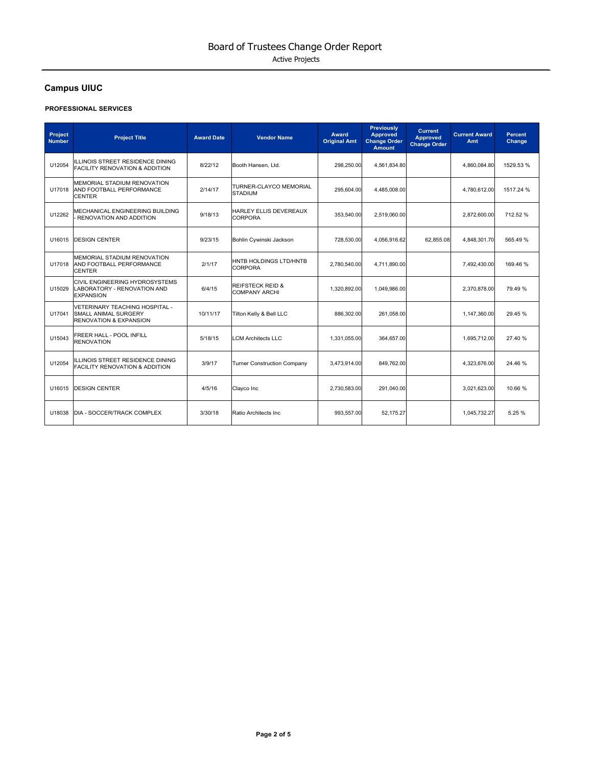# **Campus UIUC**

#### **PROFESSIONAL SERVICES**

| Project<br><b>Number</b> | <b>Project Title</b>                                                                               | <b>Award Date</b> | <b>Vendor Name</b>                                  | <b>Award</b><br><b>Original Amt</b> | <b>Previously</b><br><b>Approved</b><br><b>Change Order</b><br><b>Amount</b> | <b>Current</b><br><b>Approved</b><br><b>Change Order</b> | <b>Current Award</b><br>Amt | <b>Percent</b><br>Change |
|--------------------------|----------------------------------------------------------------------------------------------------|-------------------|-----------------------------------------------------|-------------------------------------|------------------------------------------------------------------------------|----------------------------------------------------------|-----------------------------|--------------------------|
| U12054                   | ILLINOIS STREET RESIDENCE DINING<br><b>FACILITY RENOVATION &amp; ADDITION</b>                      | 8/22/12           | Booth Hansen, Ltd.                                  | 298.250.00                          | 4,561,834.80                                                                 |                                                          | 4.860.084.80                | 1529.53 %                |
| U17018                   | <b>MEMORIAL STADIUM RENOVATION</b><br>AND FOOTBALL PERFORMANCE<br><b>CENTER</b>                    | 2/14/17           | TURNER-CLAYCO MEMORIAL<br><b>STADIUM</b>            | 295,604.00                          | 4,485,008.00                                                                 |                                                          | 4,780,612.00                | 1517.24 %                |
| U12262                   | MECHANICAL ENGINEERING BUILDING<br>RENOVATION AND ADDITION                                         | 9/18/13           | HARLEY ELLIS DEVEREAUX<br>CORPORA                   | 353,540.00                          | 2,519,060.00                                                                 |                                                          | 2,872,600.00                | 712.52 %                 |
| U16015                   | <b>DESIGN CENTER</b>                                                                               | 9/23/15           | Bohlin Cywinski Jackson                             | 728,530.00                          | 4,056,916.62                                                                 | 62,855.08                                                | 4,848,301.70                | 565.49%                  |
| U17018                   | <b>MEMORIAL STADIUM RENOVATION</b><br>AND FOOTBALL PERFORMANCE<br><b>CENTER</b>                    | 2/1/17            | HNTB HOLDINGS LTD/HNTB<br><b>CORPORA</b>            | 2.780.540.00                        | 4.711.890.00                                                                 |                                                          | 7.492.430.00                | 169.46%                  |
| U15029                   | CIVIL ENGINEERING HYDROSYSTEMS<br>LABORATORY - RENOVATION AND<br><b>EXPANSION</b>                  | 6/4/15            | <b>REIFSTECK REID &amp;</b><br><b>COMPANY ARCHI</b> | 1,320,892.00                        | 1,049,986.00                                                                 |                                                          | 2,370,878.00                | 79.49 %                  |
| U17041                   | VETERINARY TEACHING HOSPITAL -<br><b>SMALL ANIMAL SURGERY</b><br><b>RENOVATION &amp; EXPANSION</b> | 10/11/17          | Tilton Kelly & Bell LLC                             | 886.302.00                          | 261.058.00                                                                   |                                                          | 1.147.360.00                | 29.45 %                  |
| U15043                   | FREER HALL - POOL INFILL<br><b>RENOVATION</b>                                                      | 5/18/15           | <b>LCM Architects LLC</b>                           | 1,331,055.00                        | 364,657.00                                                                   |                                                          | 1,695,712.00                | 27.40 %                  |
| U12054                   | ILLINOIS STREET RESIDENCE DINING<br><b>FACILITY RENOVATION &amp; ADDITION</b>                      | 3/9/17            | <b>Turner Construction Company</b>                  | 3,473,914.00                        | 849,762.00                                                                   |                                                          | 4,323,676.00                | 24.46 %                  |
| U16015                   | <b>DESIGN CENTER</b>                                                                               | 4/5/16            | Clayco Inc                                          | 2,730,583.00                        | 291,040.00                                                                   |                                                          | 3,021,623.00                | 10.66 %                  |
| U18038                   | DIA - SOCCER/TRACK COMPLEX                                                                         | 3/30/18           | Ratio Architects Inc.                               | 993.557.00                          | 52.175.27                                                                    |                                                          | 1,045,732.27                | 5.25 %                   |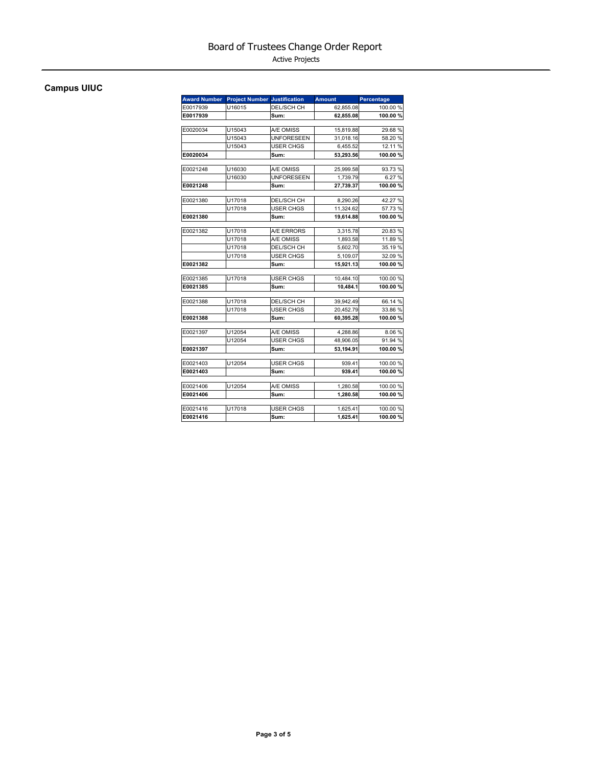Active Projects

# **Campus UIUC**

| <b>Award Number</b> | <b>Project Number Justification</b> |                   | <b>Amount</b> | Percentage |
|---------------------|-------------------------------------|-------------------|---------------|------------|
| E0017939            | U16015                              | <b>DEL/SCH CH</b> | 62,855.08     | 100.00 %   |
| E0017939            |                                     | Sum:              | 62,855.08     | 100.00%    |
| E0020034            | U15043                              | A/E OMISS         | 15,819.88     | 29.68 %    |
|                     | U15043                              | <b>UNFORESEEN</b> | 31,018.16     | 58.20 %    |
|                     | U15043                              | <b>USER CHGS</b>  | 6,455.52      | 12.11 %    |
| E0020034            |                                     | Sum:              | 53,293.56     | 100.00%    |
| E0021248            | U16030                              | A/E OMISS         | 25,999.58     | 93.73 %    |
|                     | U16030                              | <b>UNFORESEEN</b> | 1.739.79      | 6.27%      |
| E0021248            |                                     | Sum:              | 27,739.37     | 100.00%    |
| E0021380            | U17018                              | DEL/SCH CH        | 8,290.26      | 42.27 %    |
|                     | U17018                              | USER CHGS         | 11,324.62     | 57.73 %    |
| E0021380            |                                     | Sum:              | 19,614.88     | 100.00%    |
|                     |                                     |                   |               |            |
| E0021382            | U17018                              | A/E ERRORS        | 3,315.78      | 20.83%     |
|                     | U17018                              | A/E OMISS         | 1,893.58      | 11.89 %    |
|                     | U17018                              | DEL/SCH CH        | 5,602.70      | 35.19 %    |
|                     | U17018                              | <b>USER CHGS</b>  | 5,109.07      | 32.09 %    |
| E0021382            |                                     | Sum:              | 15,921.13     | 100.00%    |
| E0021385            | U17018                              | <b>USER CHGS</b>  | 10,484.10     | 100.00%    |
| E0021385            |                                     | Sum:              | 10.484.1      | 100.00%    |
| E0021388            | U17018                              | DEL/SCH CH        | 39,942.49     | 66.14 %    |
|                     | U17018                              | <b>USER CHGS</b>  | 20,452.79     | 33.86 %    |
| E0021388            |                                     | Sum:              | 60,395.28     | 100.00%    |
| E0021397            | U12054                              | A/E OMISS         | 4,288.86      | 8.06%      |
|                     | U12054                              | <b>USER CHGS</b>  | 48,906.05     | 91.94 %    |
| E0021397            |                                     | Sum:              | 53.194.91     | 100.00%    |
| E0021403            | U12054                              | USER CHGS         | 939.41        | 100.00 %   |
| E0021403            |                                     | Sum:              | 939.41        | 100.00%    |
| E0021406            | U12054                              | A/E OMISS         | 1,280.58      | 100.00 %   |
| E0021406            |                                     | Sum:              | 1,280.58      | 100.00%    |
| E0021416            | U17018                              | <b>USER CHGS</b>  | 1,625.41      | 100.00 %   |
| E0021416            |                                     | Sum:              | 1,625.41      | 100.00%    |
|                     |                                     |                   |               |            |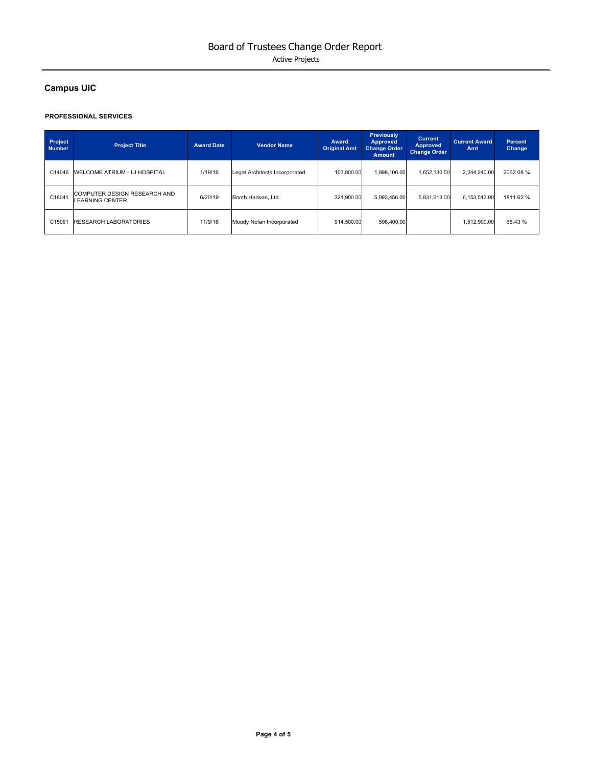# **Campus UIC**

#### **PROFESSIONAL SERVICES**

| Project<br><b>Number</b> | <b>Project Title</b>                                          | <b>Award Date</b> | <b>Vendor Name</b>            | Award<br><b>Original Amt</b> | Previously<br><b>Approved</b><br><b>Change Order</b><br><b>Amount</b> | <b>Current</b><br><b>Approved</b><br><b>Change Order</b> | <b>Current Award</b><br>Amt | <b>Percent</b><br>Change |
|--------------------------|---------------------------------------------------------------|-------------------|-------------------------------|------------------------------|-----------------------------------------------------------------------|----------------------------------------------------------|-----------------------------|--------------------------|
| C14046                   | <b>WELCOME ATRIUM - UI HOSPITAL</b>                           | 1/19/16           | Legat Architects Incorporated | 103.800.00                   | 1.898.106.00                                                          | 1.652.130.50                                             | 2.244.240.00                | 2062.08%                 |
| C18041                   | <b>COMPUTER DESIGN RESEARCH AND</b><br><b>LEARNING CENTER</b> | 6/20/19           | Booth Hansen, Ltd.            | 321.900.00                   | 5.093.456.00                                                          | 5.831.613.00                                             | 6.153.513.00                | 1811.62%                 |
| C15061                   | <b>RESEARCH LABORATORIES</b>                                  | 11/9/16           | Moody Nolan Incorporated      | 914.500.00                   | 598.400.00                                                            |                                                          | 1,512,900.00                | 65.43 %                  |